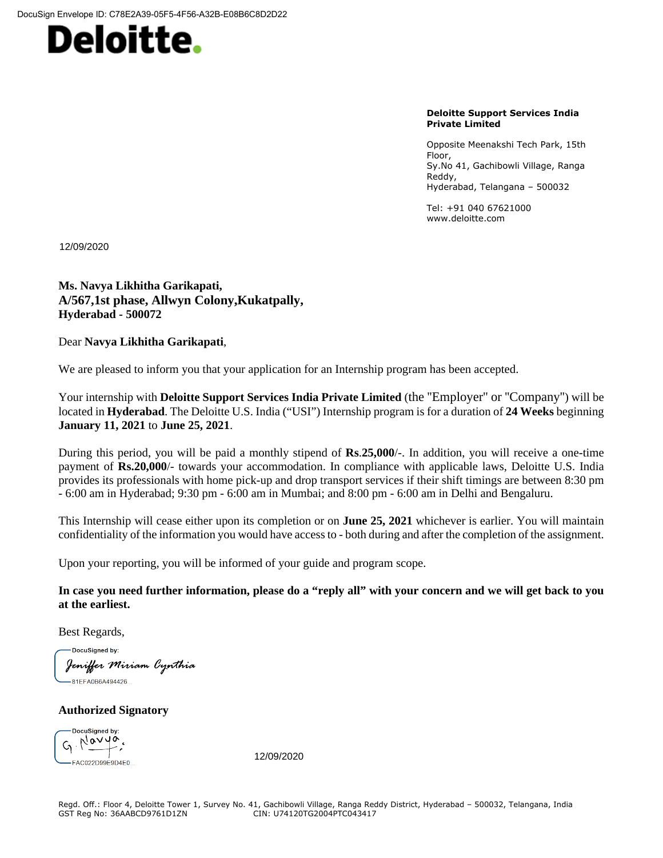

**Deloitte Support Services India Private Limited**

Opposite Meenakshi Tech Park, 15th Floor, Sy.No 41, Gachibowli Village, Ranga Reddy, Hyderabad, Telangana – 500032

Tel: +91 040 67621000 www.deloitte.com

**\Recruiter\_DateSigned\** 12/09/2020

**Ms. Navya Likhitha Garikapati, A/567,1st phase, Allwyn Colony,Kukatpally, Hyderabad - 500072**

Dear **Navya Likhitha Garikapati**,

We are pleased to inform you that your application for an Internship program has been accepted.

Your internship with **Deloitte Support Services India Private Limited** (the ''Employer'' or ''Company'') will be located in **Hyderabad**. The Deloitte U.S. India ("USI") Internship program is for a duration of **24 Weeks** beginning **January 11, 2021** to **June 25, 2021**.

During this period, you will be paid a monthly stipend of **Rs**.**25,000**/-. In addition, you will receive a one-time payment of **Rs.20,000**/- towards your accommodation. In compliance with applicable laws, Deloitte U.S. India provides its professionals with home pick-up and drop transport services if their shift timings are between 8:30 pm - 6:00 am in Hyderabad; 9:30 pm - 6:00 am in Mumbai; and 8:00 pm - 6:00 am in Delhi and Bengaluru.

This Internship will cease either upon its completion or on **June 25, 2021** whichever is earlier. You will maintain confidentiality of the information you would have accessto - both during and after the completion of the assignment.

Upon your reporting, you will be informed of your guide and program scope.

In case you need further information, please do a "reply all" with your concern and we will get back to you **at the earliest.**

Best Regards,

DocuSigned by: **Jen***iffer Miriam Cynthia*<br>—81EFA0B6A494426…

**Authorized Signatory**

DocuSianed by:  $\zeta$   $\begin{matrix} \sqrt{\alpha} & \sqrt{\alpha} & \sqrt{\alpha} \\ -\sqrt{\alpha} & \sqrt{\alpha} & \sqrt{\alpha} \\ -\sqrt{\alpha} & \sqrt{\alpha} & \sqrt{\alpha} \\ \sqrt{\alpha} & \sqrt{\alpha} & \sqrt{\alpha} \\ \sqrt{\alpha} & \sqrt{\alpha} & \sqrt{\alpha} \\ \sqrt{\alpha} & \sqrt{\alpha} & \sqrt{\alpha} \\ \sqrt{\alpha} & \sqrt{\alpha} & \sqrt{\alpha} \\ \sqrt{\alpha} & \sqrt{\alpha} & \sqrt{\alpha} \\ \sqrt{\alpha} & \sqrt{\alpha} & \sqrt{\alpha} \\ \sqrt{\alpha} & \sqrt{\alpha} & \sqrt{\alpha} \\ \sqrt{\alpha} & \sqrt{\alpha} & \sqrt{\alpha} \\ \sqrt{\alpha} & \sqrt{\$ 

12/09/2020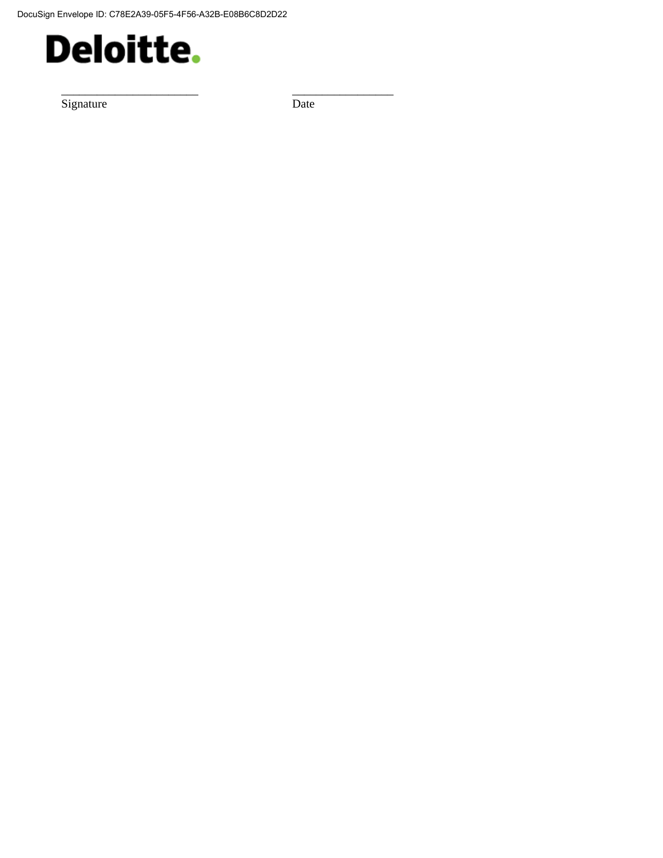

Signature Date

\_\_\_\_\_\_\_\_\_\_\_\_\_\_\_\_\_\_\_\_\_\_\_ \_\_\_\_\_\_\_\_\_\_\_\_\_\_\_\_\_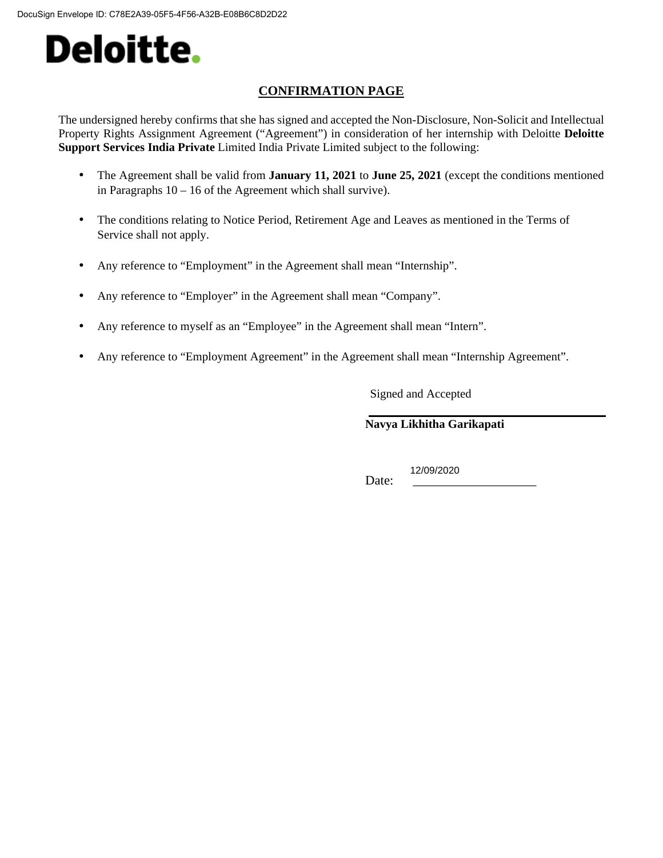### **CONFIRMATION PAGE**

The undersigned hereby confirms that she has signed and accepted the Non-Disclosure, Non-Solicit and Intellectual Property Rights Assignment Agreement ("Agreement") in consideration of her internship with Deloitte **Deloitte Support Services India Private** Limited India Private Limited subject to the following:

- The Agreement shall be valid from **January 11, 2021** to **June 25, 2021** (except the conditions mentioned in Paragraphs 10 – 16 of the Agreement which shall survive).
- The conditions relating to Notice Period, Retirement Age and Leaves as mentioned in the Terms of Service shall not apply.
- Any reference to "Employment" in the Agreement shall mean "Internship".
- Any reference to "Employer" in the Agreement shall mean "Company".
- Any reference to myself as an "Employee" in the Agreement shall mean "Intern".
- Any reference to "Employment Agreement" in the Agreement shall mean "Internship Agreement".

Signed and Accepted

**Navya Likhitha Garikapati**

\Candidate\_DateSigned\ 12/09/2020Date: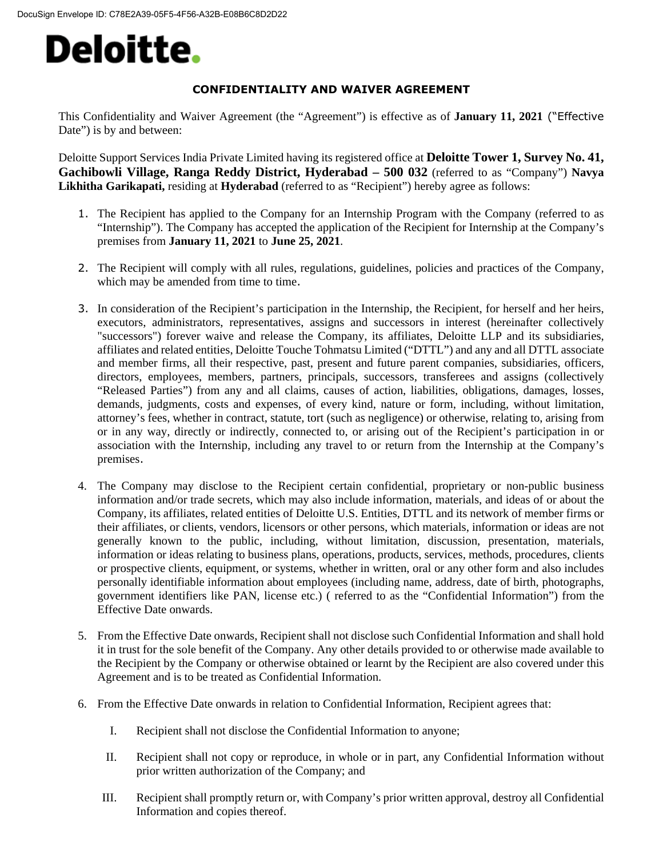#### **CONFIDENTIALITY AND WAIVER AGREEMENT**

This Confidentiality and Waiver Agreement (the "Agreement") is effective as of **January 11, 2021** ("Effective Date") is by and between:

Deloitte Support Services India Private Limited having its registered office at **Deloitte Tower 1, Survey No. 41, Gachibowli Village, Ranga Reddy District, Hyderabad – 500 032** (referred to as "Company") **Navya Likhitha Garikapati,** residing at **Hyderabad** (referred to as "Recipient") hereby agree as follows:

- 1. The Recipient has applied to the Company for an Internship Program with the Company (referred to as "Internship"). The Company has accepted the application of the Recipient for Internship at the Company's premises from **January 11, 2021** to **June 25, 2021**.
- 2. The Recipient will comply with all rules, regulations, guidelines, policies and practices of the Company, which may be amended from time to time.
- 3. In consideration of the Recipient's participation in the Internship, the Recipient, for herself and her heirs, executors, administrators, representatives, assigns and successors in interest (hereinafter collectively "successors") forever waive and release the Company, its affiliates, Deloitte LLP and its subsidiaries, affiliates and related entities, Deloitte Touche Tohmatsu Limited ("DTTL") and any and all DTTL associate and member firms, all their respective, past, present and future parent companies, subsidiaries, officers, directors, employees, members, partners, principals, successors, transferees and assigns (collectively "Released Parties") from any and all claims, causes of action, liabilities, obligations, damages, losses, demands, judgments, costs and expenses, of every kind, nature or form, including, without limitation, attorney's fees, whether in contract, statute, tort (such as negligence) or otherwise, relating to, arising from or in any way, directly or indirectly, connected to, or arising out of the Recipient's participation in or association with the Internship, including any travel to or return from the Internship at the Company's premises.
- 4. The Company may disclose to the Recipient certain confidential, proprietary or non-public business information and/or trade secrets, which may also include information, materials, and ideas of or about the Company, its affiliates, related entities of Deloitte U.S. Entities, DTTL and its network of member firms or their affiliates, or clients, vendors, licensors or other persons, which materials, information or ideas are not generally known to the public, including, without limitation, discussion, presentation, materials, information or ideas relating to business plans, operations, products, services, methods, procedures, clients or prospective clients, equipment, or systems, whether in written, oral or any other form and also includes personally identifiable information about employees (including name, address, date of birth, photographs, government identifiers like PAN, license etc.) ( referred to as the "Confidential Information") from the Effective Date onwards.
- 5. From the Effective Date onwards, Recipient shall not disclose such Confidential Information and shall hold it in trust for the sole benefit of the Company. Any other details provided to or otherwise made available to the Recipient by the Company or otherwise obtained or learnt by the Recipient are also covered under this Agreement and is to be treated as Confidential Information.
- 6. From the Effective Date onwards in relation to Confidential Information, Recipient agrees that:
	- I. Recipient shall not disclose the Confidential Information to anyone;
	- II. Recipient shall not copy or reproduce, in whole or in part, any Confidential Information without prior written authorization of the Company; and
	- III. Recipient shall promptly return or, with Company's prior written approval, destroy all Confidential Information and copies thereof.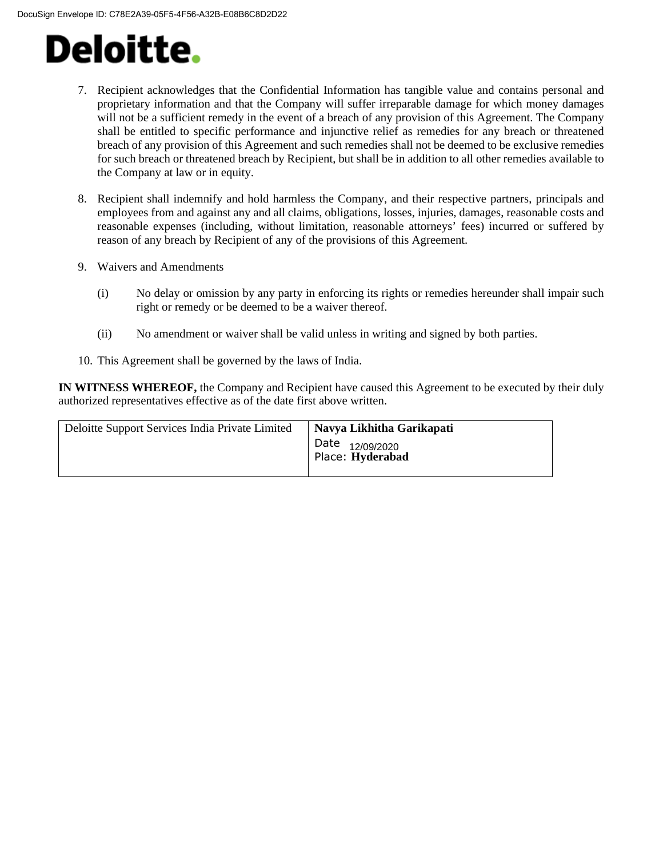- 7. Recipient acknowledges that the Confidential Information has tangible value and contains personal and proprietary information and that the Company will suffer irreparable damage for which money damages will not be a sufficient remedy in the event of a breach of any provision of this Agreement. The Company shall be entitled to specific performance and injunctive relief as remedies for any breach or threatened breach of any provision of this Agreement and such remedies shall not be deemed to be exclusive remedies for such breach or threatened breach by Recipient, but shall be in addition to all other remedies available to the Company at law or in equity.
- 8. Recipient shall indemnify and hold harmless the Company, and their respective partners, principals and employees from and against any and all claims, obligations, losses, injuries, damages, reasonable costs and reasonable expenses (including, without limitation, reasonable attorneys' fees) incurred or suffered by reason of any breach by Recipient of any of the provisions of this Agreement.
- 9. Waivers and Amendments
	- (i) No delay or omission by any party in enforcing its rights or remedies hereunder shall impair such right or remedy or be deemed to be a waiver thereof.
	- (ii) No amendment or waiver shall be valid unless in writing and signed by both parties.
- 10. This Agreement shall be governed by the laws of India.

**IN WITNESS WHEREOF,** the Company and Recipient have caused this Agreement to be executed by their duly authorized representatives effective as of the date first above written.

| Deloitte Support Services India Private Limited | Navya Likhitha Garikapati                      |
|-------------------------------------------------|------------------------------------------------|
|                                                 | Date <sub>12/09/2020</sub><br>Place: Hyderabad |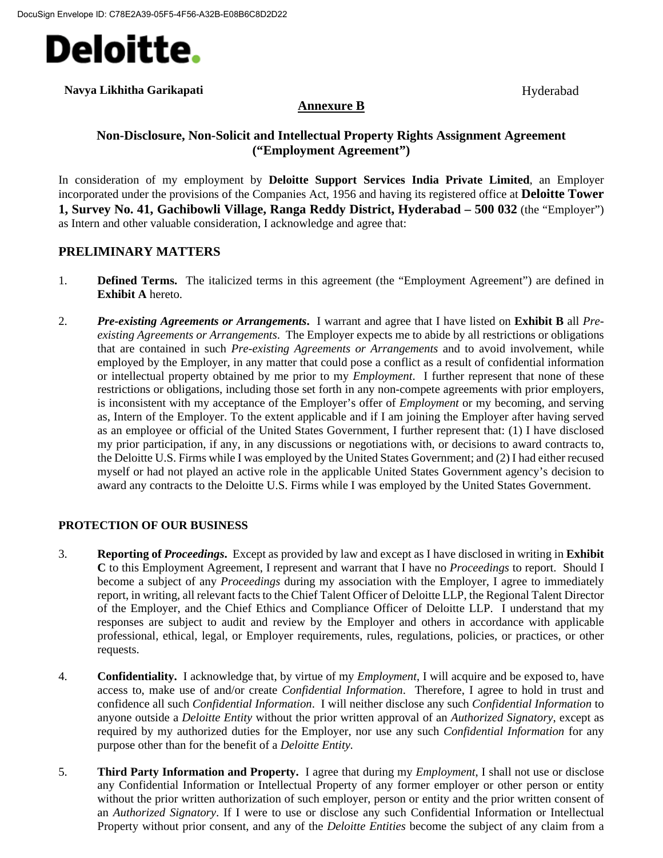

#### **Navya Likhitha Garikapati** Hyderabad Hyderabad Hyderabad Hyderabad Hyderabad Hyderabad Hyderabad Hyderabad Hyderabad Hyderabad Hyderabad Hyderabad Hyderabad Hyderabad Hyderabad Hyderabad Hyderabad Hyderabad Hyderabad Hyde

#### **Annexure B**

### **Non-Disclosure, Non-Solicit and Intellectual Property Rights Assignment Agreement ("Employment Agreement")**

In consideration of my employment by **Deloitte Support Services India Private Limited**, an Employer incorporated under the provisions of the Companies Act, 1956 and having its registered office at **Deloitte Tower 1, Survey No. 41, Gachibowli Village, Ranga Reddy District, Hyderabad – 500 032** (the "Employer") as Intern and other valuable consideration, I acknowledge and agree that:

### **PRELIMINARY MATTERS**

- 1. **Defined Terms.** The italicized terms in this agreement (the "Employment Agreement") are defined in **Exhibit A** hereto.
- 2. *Pre-existing Agreements or Arrangements***.** I warrant and agree that I have listed on **Exhibit B** all *Preexisting Agreements or Arrangements*. The Employer expects me to abide by all restrictions or obligations that are contained in such *Pre-existing Agreements or Arrangements* and to avoid involvement, while employed by the Employer, in any matter that could pose a conflict as a result of confidential information or intellectual property obtained by me prior to my *Employment*. I further represent that none of these restrictions or obligations, including those set forth in any non-compete agreements with prior employers, is inconsistent with my acceptance of the Employer's offer of *Employment* or my becoming, and serving as, Intern of the Employer. To the extent applicable and if I am joining the Employer after having served as an employee or official of the United States Government, I further represent that: (1) I have disclosed my prior participation, if any, in any discussions or negotiations with, or decisions to award contracts to, the Deloitte U.S. Firms while I was employed by the United States Government; and (2) I had either recused myself or had not played an active role in the applicable United States Government agency's decision to award any contracts to the Deloitte U.S. Firms while I was employed by the United States Government.

#### **PROTECTION OF OUR BUSINESS**

- 3. **Reporting of** *Proceedings***.** Except as provided by law and except as I have disclosed in writing in **Exhibit C** to this Employment Agreement, I represent and warrant that I have no *Proceedings* to report. Should I become a subject of any *Proceedings* during my association with the Employer, I agree to immediately report, in writing, all relevant facts to the Chief Talent Officer of Deloitte LLP, the Regional Talent Director of the Employer, and the Chief Ethics and Compliance Officer of Deloitte LLP. I understand that my responses are subject to audit and review by the Employer and others in accordance with applicable professional, ethical, legal, or Employer requirements, rules, regulations, policies, or practices, or other requests.
- 4. **Confidentiality.** I acknowledge that, by virtue of my *Employment*, I will acquire and be exposed to, have access to, make use of and/or create *Confidential Information*. Therefore, I agree to hold in trust and confidence all such *Confidential Information*. I will neither disclose any such *Confidential Information* to anyone outside a *Deloitte Entity* without the prior written approval of an *Authorized Signatory*, except as required by my authorized duties for the Employer, nor use any such *Confidential Information* for any purpose other than for the benefit of a *Deloitte Entity.*
- 5. **Third Party Information and Property.** I agree that during my *Employment*, I shall not use or disclose any Confidential Information or Intellectual Property of any former employer or other person or entity without the prior written authorization of such employer, person or entity and the prior written consent of an *Authorized Signatory*. If I were to use or disclose any such Confidential Information or Intellectual Property without prior consent, and any of the *Deloitte Entities* become the subject of any claim from a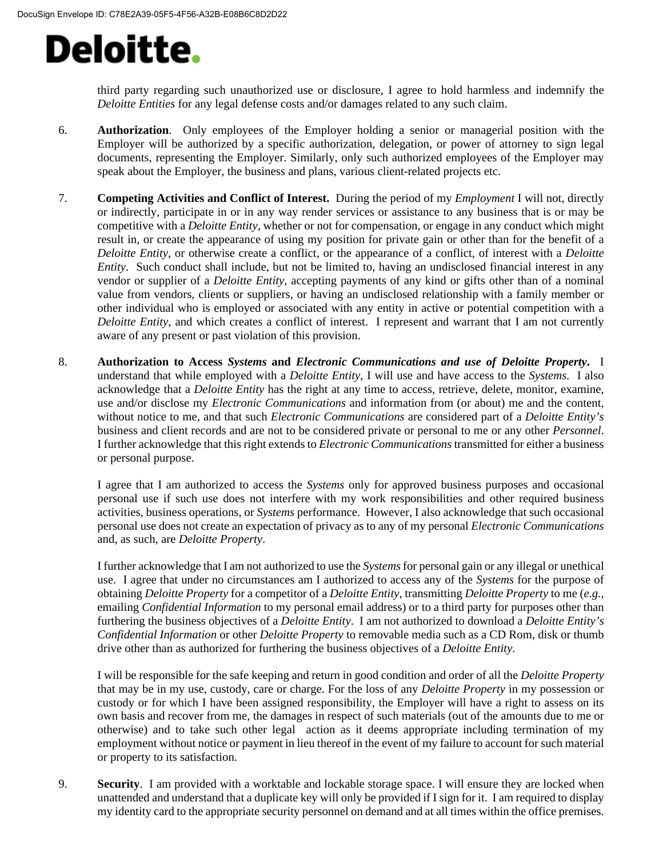third party regarding such unauthorized use or disclosure, I agree to hold harmless and indemnify the *Deloitte Entities* for any legal defense costs and/or damages related to any such claim.

- 6. **Authorization**. Only employees of the Employer holding a senior or managerial position with the Employer will be authorized by a specific authorization, delegation, or power of attorney to sign legal documents, representing the Employer. Similarly, only such authorized employees of the Employer may speak about the Employer, the business and plans, various client-related projects etc.
- 7. **Competing Activities and Conflict of Interest.** During the period of my *Employment* I will not, directly or indirectly, participate in or in any way render services or assistance to any business that is or may be competitive with a *Deloitte Entity*, whether or not for compensation, or engage in any conduct which might result in, or create the appearance of using my position for private gain or other than for the benefit of a *Deloitte Entity*, or otherwise create a conflict, or the appearance of a conflict, of interest with a *Deloitte Entity*. Such conduct shall include, but not be limited to, having an undisclosed financial interest in any vendor or supplier of a *Deloitte Entity*, accepting payments of any kind or gifts other than of a nominal value from vendors, clients or suppliers, or having an undisclosed relationship with a family member or other individual who is employed or associated with any entity in active or potential competition with a *Deloitte Entity*, and which creates a conflict of interest. I represent and warrant that I am not currently aware of any present or past violation of this provision.
- 8. **Authorization to Access** *Systems* **and** *Electronic Communications and use of Deloitte Property***.** I understand that while employed with a *Deloitte Entity*, I will use and have access to the *Systems.* I also acknowledge that a *Deloitte Entity* has the right at any time to access, retrieve, delete, monitor, examine, use and/or disclose my *Electronic Communications* and information from (or about) me and the content, without notice to me, and that such *Electronic Communications* are considered part of a *Deloitte Entity's* business and client records and are not to be considered private or personal to me or any other *Personnel*. I further acknowledge that this right extends to *Electronic Communications* transmitted for either a business or personal purpose.

I agree that I am authorized to access the *Systems* only for approved business purposes and occasional personal use if such use does not interfere with my work responsibilities and other required business activities, business operations, or *Systems* performance. However, I also acknowledge that such occasional personal use does not create an expectation of privacy as to any of my personal *Electronic Communications* and, as such, are *Deloitte Property*.

I further acknowledge that I am not authorized to use the *Systems*for personal gain or any illegal or unethical use. I agree that under no circumstances am I authorized to access any of the *Systems* for the purpose of obtaining *Deloitte Property* for a competitor of a *Deloitte Entity,* transmitting *Deloitte Property* to me (*e.g.*, emailing *Confidential Information* to my personal email address) or to a third party for purposes other than furthering the business objectives of a *Deloitte Entity*. I am not authorized to download a *Deloitte Entity's Confidential Information* or other *Deloitte Property* to removable media such as a CD Rom, disk or thumb drive other than as authorized for furthering the business objectives of a *Deloitte Entity*.

I will be responsible for the safe keeping and return in good condition and order of all the *Deloitte Property* that may be in my use, custody, care or charge. For the loss of any *Deloitte Property* in my possession or custody or for which I have been assigned responsibility, the Employer will have a right to assess on its own basis and recover from me, the damages in respect of such materials (out of the amounts due to me or otherwise) and to take such other legal action as it deems appropriate including termination of my employment without notice or payment in lieu thereof in the event of my failure to account for such material or property to its satisfaction.

9. **Security**. I am provided with a worktable and lockable storage space. I will ensure they are locked when unattended and understand that a duplicate key will only be provided if I sign for it. I am required to display my identity card to the appropriate security personnel on demand and at all times within the office premises.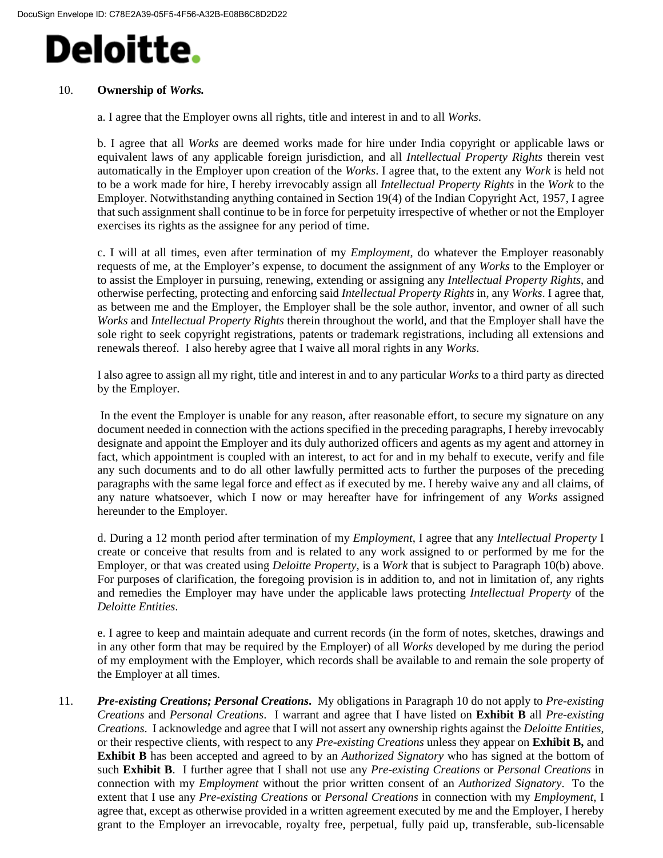#### 10. **Ownership of** *Works.*

a. I agree that the Employer owns all rights, title and interest in and to all *Works*.

b. I agree that all *Works* are deemed works made for hire under India copyright or applicable laws or equivalent laws of any applicable foreign jurisdiction, and all *Intellectual Property Rights* therein vest automatically in the Employer upon creation of the *Works*. I agree that, to the extent any *Work* is held not to be a work made for hire, I hereby irrevocably assign all *Intellectual Property Rights* in the *Work* to the Employer. Notwithstanding anything contained in Section 19(4) of the Indian Copyright Act, 1957, I agree that such assignment shall continue to be in force for perpetuity irrespective of whether or not the Employer exercises its rights as the assignee for any period of time.

c. I will at all times, even after termination of my *Employment*, do whatever the Employer reasonably requests of me, at the Employer's expense, to document the assignment of any *Works* to the Employer or to assist the Employer in pursuing, renewing, extending or assigning any *Intellectual Property Rights*, and otherwise perfecting, protecting and enforcing said *Intellectual Property Rights* in, any *Works*. I agree that, as between me and the Employer, the Employer shall be the sole author, inventor, and owner of all such *Works* and *Intellectual Property Rights* therein throughout the world, and that the Employer shall have the sole right to seek copyright registrations, patents or trademark registrations, including all extensions and renewals thereof. I also hereby agree that I waive all moral rights in any *Works*.

I also agree to assign all my right, title and interest in and to any particular *Works* to a third party as directed by the Employer.

In the event the Employer is unable for any reason, after reasonable effort, to secure my signature on any document needed in connection with the actions specified in the preceding paragraphs, I hereby irrevocably designate and appoint the Employer and its duly authorized officers and agents as my agent and attorney in fact, which appointment is coupled with an interest, to act for and in my behalf to execute, verify and file any such documents and to do all other lawfully permitted acts to further the purposes of the preceding paragraphs with the same legal force and effect as if executed by me. I hereby waive any and all claims, of any nature whatsoever, which I now or may hereafter have for infringement of any *Works* assigned hereunder to the Employer.

d. During a 12 month period after termination of my *Employment*, I agree that any *Intellectual Property* I create or conceive that results from and is related to any work assigned to or performed by me for the Employer, or that was created using *Deloitte Property*, is a *Work* that is subject to Paragraph 10(b) above. For purposes of clarification, the foregoing provision is in addition to, and not in limitation of, any rights and remedies the Employer may have under the applicable laws protecting *Intellectual Property* of the *Deloitte Entities*.

e. I agree to keep and maintain adequate and current records (in the form of notes, sketches, drawings and in any other form that may be required by the Employer) of all *Works* developed by me during the period of my employment with the Employer, which records shall be available to and remain the sole property of the Employer at all times.

11. *Pre-existing Creations; Personal Creations***.** My obligations in Paragraph 10 do not apply to *Pre-existing Creations* and *Personal Creations*. I warrant and agree that I have listed on **Exhibit B** all *Pre-existing Creations*. I acknowledge and agree that I will not assert any ownership rights against the *Deloitte Entities*, or their respective clients, with respect to any *Pre-existing Creations* unless they appear on **Exhibit B,** and **Exhibit B** has been accepted and agreed to by an *Authorized Signatory* who has signed at the bottom of such **Exhibit B**. I further agree that I shall not use any *Pre-existing Creations* or *Personal Creations* in connection with my *Employment* without the prior written consent of an *Authorized Signatory*. To the extent that I use any *Pre-existing Creations* or *Personal Creations* in connection with my *Employment*, I agree that, except as otherwise provided in a written agreement executed by me and the Employer, I hereby grant to the Employer an irrevocable, royalty free, perpetual, fully paid up, transferable, sub-licensable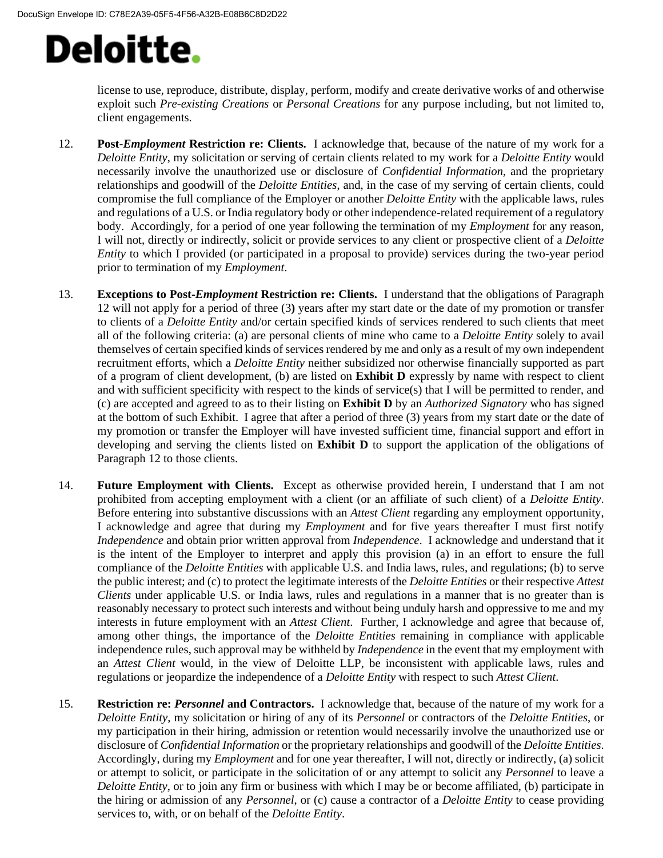license to use, reproduce, distribute, display, perform, modify and create derivative works of and otherwise exploit such *Pre-existing Creations* or *Personal Creations* for any purpose including, but not limited to, client engagements.

- 12. **Post-***Employment* **Restriction re: Clients.** I acknowledge that, because of the nature of my work for a *Deloitte Entity*, my solicitation or serving of certain clients related to my work for a *Deloitte Entity* would necessarily involve the unauthorized use or disclosure of *Confidential Information*, and the proprietary relationships and goodwill of the *Deloitte Entities*, and, in the case of my serving of certain clients, could compromise the full compliance of the Employer or another *Deloitte Entity* with the applicable laws, rules and regulations of a U.S. or India regulatory body or other independence-related requirement of a regulatory body. Accordingly, for a period of one year following the termination of my *Employment* for any reason, I will not, directly or indirectly, solicit or provide services to any client or prospective client of a *Deloitte Entity* to which I provided (or participated in a proposal to provide) services during the two-year period prior to termination of my *Employment*.
- 13. **Exceptions to Post-***Employment* **Restriction re: Clients.** I understand that the obligations of Paragraph 12 will not apply for a period of three (3**)** years after my start date or the date of my promotion or transfer to clients of a *Deloitte Entity* and/or certain specified kinds of services rendered to such clients that meet all of the following criteria: (a) are personal clients of mine who came to a *Deloitte Entity* solely to avail themselves of certain specified kinds of services rendered by me and only as a result of my own independent recruitment efforts, which a *Deloitte Entity* neither subsidized nor otherwise financially supported as part of a program of client development, (b) are listed on **Exhibit D** expressly by name with respect to client and with sufficient specificity with respect to the kinds of service(s) that I will be permitted to render, and (c) are accepted and agreed to as to their listing on **Exhibit D** by an *Authorized Signatory* who has signed at the bottom of such Exhibit. I agree that after a period of three (3) years from my start date or the date of my promotion or transfer the Employer will have invested sufficient time, financial support and effort in developing and serving the clients listed on **Exhibit D** to support the application of the obligations of Paragraph 12 to those clients.
- 14. **Future Employment with Clients.** Except as otherwise provided herein, I understand that I am not prohibited from accepting employment with a client (or an affiliate of such client) of a *Deloitte Entity*. Before entering into substantive discussions with an *Attest Client* regarding any employment opportunity, I acknowledge and agree that during my *Employment* and for five years thereafter I must first notify *Independence* and obtain prior written approval from *Independence*. I acknowledge and understand that it is the intent of the Employer to interpret and apply this provision (a) in an effort to ensure the full compliance of the *Deloitte Entities* with applicable U.S. and India laws, rules, and regulations; (b) to serve the public interest; and (c) to protect the legitimate interests of the *Deloitte Entities* or their respective *Attest Clients* under applicable U.S. or India laws, rules and regulations in a manner that is no greater than is reasonably necessary to protect such interests and without being unduly harsh and oppressive to me and my interests in future employment with an *Attest Client*. Further, I acknowledge and agree that because of, among other things, the importance of the *Deloitte Entities* remaining in compliance with applicable independence rules, such approval may be withheld by *Independence* in the event that my employment with an *Attest Client* would, in the view of Deloitte LLP, be inconsistent with applicable laws, rules and regulations or jeopardize the independence of a *Deloitte Entity* with respect to such *Attest Client*.
- 15. **Restriction re:** *Personnel* **and Contractors.** I acknowledge that, because of the nature of my work for a *Deloitte Entity*, my solicitation or hiring of any of its *Personnel* or contractors of the *Deloitte Entities*, or my participation in their hiring, admission or retention would necessarily involve the unauthorized use or disclosure of *Confidential Information* or the proprietary relationships and goodwill of the *Deloitte Entities*. Accordingly, during my *Employment* and for one year thereafter, I will not, directly or indirectly, (a) solicit or attempt to solicit, or participate in the solicitation of or any attempt to solicit any *Personnel* to leave a *Deloitte Entity*, or to join any firm or business with which I may be or become affiliated, (b) participate in the hiring or admission of any *Personnel*, or (c) cause a contractor of a *Deloitte Entity* to cease providing services to, with, or on behalf of the *Deloitte Entity*.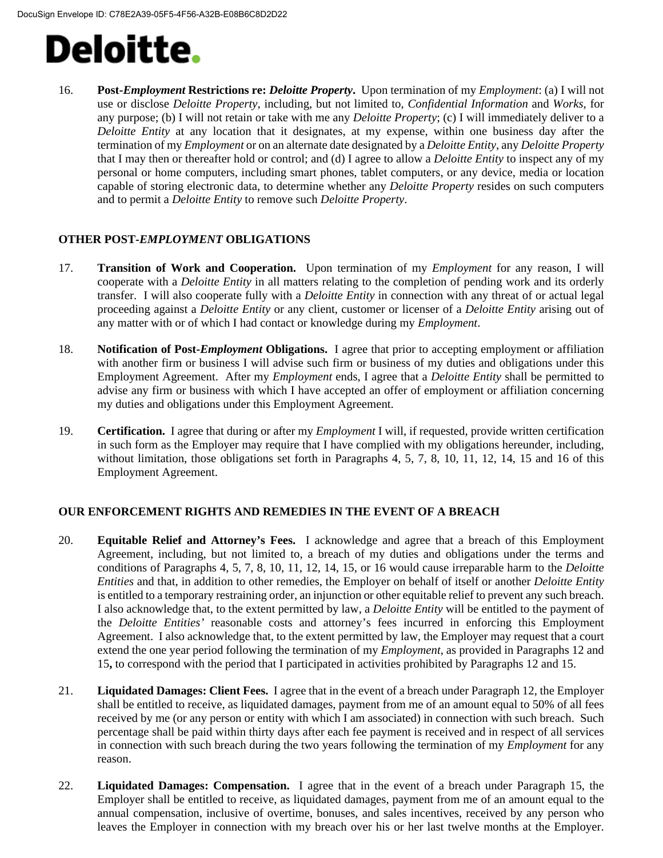16. **Post-***Employment* **Restrictions re:** *Deloitte Property***.** Upon termination of my *Employment*: (a) I will not use or disclose *Deloitte Property*, including, but not limited to, *Confidential Information* and *Works*, for any purpose; (b) I will not retain or take with me any *Deloitte Property*; (c) I will immediately deliver to a *Deloitte Entity* at any location that it designates, at my expense, within one business day after the termination of my *Employment* or on an alternate date designated by a *Deloitte Entity*, any *Deloitte Property* that I may then or thereafter hold or control; and (d) I agree to allow a *Deloitte Entity* to inspect any of my personal or home computers, including smart phones, tablet computers, or any device, media or location capable of storing electronic data, to determine whether any *Deloitte Property* resides on such computers and to permit a *Deloitte Entity* to remove such *Deloitte Property*.

#### **OTHER POST-***EMPLOYMENT* **OBLIGATIONS**

- 17. **Transition of Work and Cooperation.** Upon termination of my *Employment* for any reason, I will cooperate with a *Deloitte Entity* in all matters relating to the completion of pending work and its orderly transfer. I will also cooperate fully with a *Deloitte Entity* in connection with any threat of or actual legal proceeding against a *Deloitte Entity* or any client, customer or licenser of a *Deloitte Entity* arising out of any matter with or of which I had contact or knowledge during my *Employment*.
- 18. **Notification of Post-***Employment* **Obligations.** I agree that prior to accepting employment or affiliation with another firm or business I will advise such firm or business of my duties and obligations under this Employment Agreement. After my *Employment* ends, I agree that a *Deloitte Entity* shall be permitted to advise any firm or business with which I have accepted an offer of employment or affiliation concerning my duties and obligations under this Employment Agreement.
- 19. **Certification.** I agree that during or after my *Employment* I will, if requested, provide written certification in such form as the Employer may require that I have complied with my obligations hereunder, including, without limitation, those obligations set forth in Paragraphs 4, 5, 7, 8, 10, 11, 12, 14, 15 and 16 of this Employment Agreement.

#### **OUR ENFORCEMENT RIGHTS AND REMEDIES IN THE EVENT OF A BREACH**

- 20. **Equitable Relief and Attorney's Fees.** I acknowledge and agree that a breach of this Employment Agreement, including, but not limited to, a breach of my duties and obligations under the terms and conditions of Paragraphs 4, 5, 7, 8, 10, 11, 12, 14, 15, or 16 would cause irreparable harm to the *Deloitte Entities* and that, in addition to other remedies, the Employer on behalf of itself or another *Deloitte Entity* is entitled to a temporary restraining order, an injunction or other equitable relief to prevent any such breach. I also acknowledge that, to the extent permitted by law, a *Deloitte Entity* will be entitled to the payment of the *Deloitte Entities'* reasonable costs and attorney's fees incurred in enforcing this Employment Agreement. I also acknowledge that, to the extent permitted by law, the Employer may request that a court extend the one year period following the termination of my *Employment*, as provided in Paragraphs 12 and 15**,** to correspond with the period that I participated in activities prohibited by Paragraphs 12 and 15.
- 21. **Liquidated Damages: Client Fees.** I agree that in the event of a breach under Paragraph 12, the Employer shall be entitled to receive, as liquidated damages, payment from me of an amount equal to 50% of all fees received by me (or any person or entity with which I am associated) in connection with such breach. Such percentage shall be paid within thirty days after each fee payment is received and in respect of all services in connection with such breach during the two years following the termination of my *Employment* for any reason.
- 22. **Liquidated Damages: Compensation.** I agree that in the event of a breach under Paragraph 15, the Employer shall be entitled to receive, as liquidated damages, payment from me of an amount equal to the annual compensation, inclusive of overtime, bonuses, and sales incentives, received by any person who leaves the Employer in connection with my breach over his or her last twelve months at the Employer.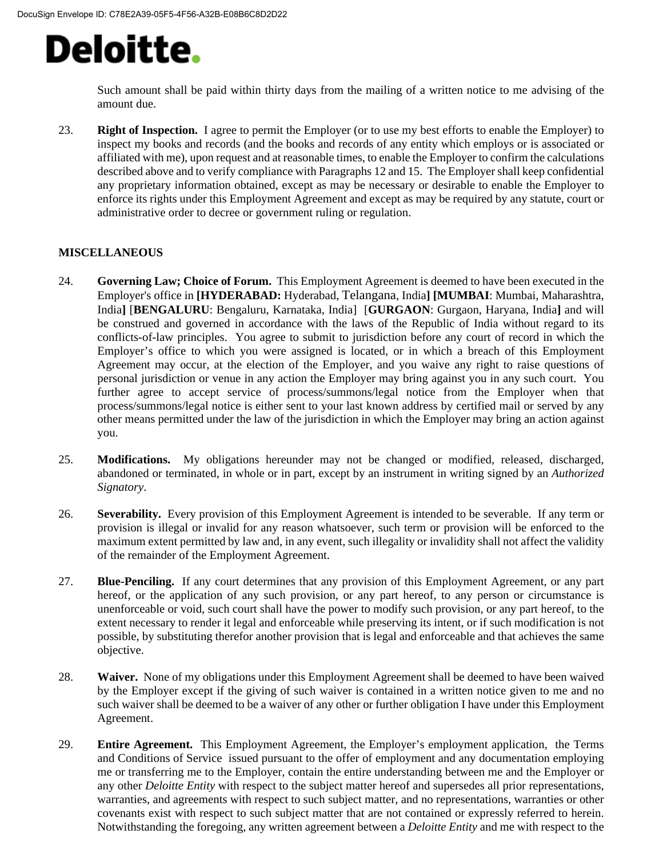Such amount shall be paid within thirty days from the mailing of a written notice to me advising of the amount due.

23. **Right of Inspection.** I agree to permit the Employer (or to use my best efforts to enable the Employer) to inspect my books and records (and the books and records of any entity which employs or is associated or affiliated with me), upon request and at reasonable times, to enable the Employer to confirm the calculations described above and to verify compliance with Paragraphs 12 and 15. The Employer shall keep confidential any proprietary information obtained, except as may be necessary or desirable to enable the Employer to enforce its rights under this Employment Agreement and except as may be required by any statute, court or administrative order to decree or government ruling or regulation.

#### **MISCELLANEOUS**

- 24. **Governing Law; Choice of Forum.** This Employment Agreement is deemed to have been executed in the Employer's office in **[HYDERABAD:** Hyderabad, Telangana, India**] [MUMBAI**: Mumbai, Maharashtra, India**]** [**BENGALURU**: Bengaluru, Karnataka, India] [**GURGAON**: Gurgaon, Haryana, India**]** and will be construed and governed in accordance with the laws of the Republic of India without regard to its conflicts-of-law principles. You agree to submit to jurisdiction before any court of record in which the Employer's office to which you were assigned is located, or in which a breach of this Employment Agreement may occur, at the election of the Employer, and you waive any right to raise questions of personal jurisdiction or venue in any action the Employer may bring against you in any such court. You further agree to accept service of process/summons/legal notice from the Employer when that process/summons/legal notice is either sent to your last known address by certified mail or served by any other means permitted under the law of the jurisdiction in which the Employer may bring an action against you.
- 25. **Modifications.** My obligations hereunder may not be changed or modified, released, discharged, abandoned or terminated, in whole or in part, except by an instrument in writing signed by an *Authorized Signatory*.
- 26. **Severability.** Every provision of this Employment Agreement is intended to be severable. If any term or provision is illegal or invalid for any reason whatsoever, such term or provision will be enforced to the maximum extent permitted by law and, in any event, such illegality or invalidity shall not affect the validity of the remainder of the Employment Agreement.
- 27. **Blue-Penciling.** If any court determines that any provision of this Employment Agreement, or any part hereof, or the application of any such provision, or any part hereof, to any person or circumstance is unenforceable or void, such court shall have the power to modify such provision, or any part hereof, to the extent necessary to render it legal and enforceable while preserving its intent, or if such modification is not possible, by substituting therefor another provision that is legal and enforceable and that achieves the same objective.
- 28. **Waiver.** None of my obligations under this Employment Agreement shall be deemed to have been waived by the Employer except if the giving of such waiver is contained in a written notice given to me and no such waiver shall be deemed to be a waiver of any other or further obligation I have under this Employment Agreement.
- 29. **Entire Agreement.** This Employment Agreement, the Employer's employment application, the Terms and Conditions of Service issued pursuant to the offer of employment and any documentation employing me or transferring me to the Employer, contain the entire understanding between me and the Employer or any other *Deloitte Entity* with respect to the subject matter hereof and supersedes all prior representations, warranties, and agreements with respect to such subject matter, and no representations, warranties or other covenants exist with respect to such subject matter that are not contained or expressly referred to herein. Notwithstanding the foregoing, any written agreement between a *Deloitte Entity* and me with respect to the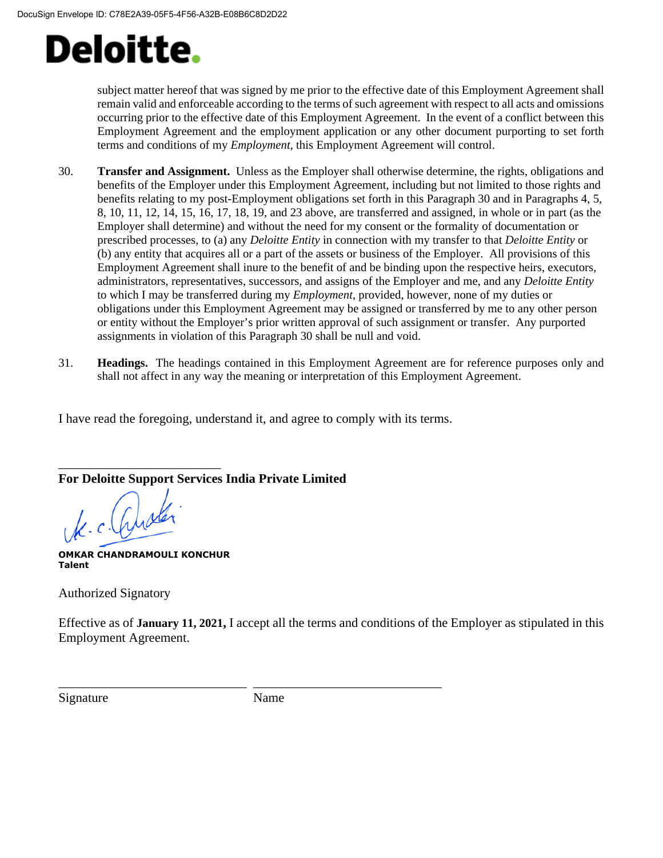subject matter hereof that was signed by me prior to the effective date of this Employment Agreement shall remain valid and enforceable according to the terms of such agreement with respect to all acts and omissions occurring prior to the effective date of this Employment Agreement. In the event of a conflict between this Employment Agreement and the employment application or any other document purporting to set forth terms and conditions of my *Employment*, this Employment Agreement will control.

- 30. **Transfer and Assignment.** Unless as the Employer shall otherwise determine, the rights, obligations and benefits of the Employer under this Employment Agreement, including but not limited to those rights and benefits relating to my post-Employment obligations set forth in this Paragraph 30 and in Paragraphs 4, 5, 8, 10, 11, 12, 14, 15, 16, 17, 18, 19, and 23 above, are transferred and assigned, in whole or in part (as the Employer shall determine) and without the need for my consent or the formality of documentation or prescribed processes, to (a) any *Deloitte Entity* in connection with my transfer to that *Deloitte Entity* or (b) any entity that acquires all or a part of the assets or business of the Employer. All provisions of this Employment Agreement shall inure to the benefit of and be binding upon the respective heirs, executors, administrators, representatives, successors, and assigns of the Employer and me, and any *Deloitte Entity* to which I may be transferred during my *Employment*, provided, however, none of my duties or obligations under this Employment Agreement may be assigned or transferred by me to any other person or entity without the Employer's prior written approval of such assignment or transfer. Any purported assignments in violation of this Paragraph 30 shall be null and void.
- 31. **Headings.** The headings contained in this Employment Agreement are for reference purposes only and shall not affect in any way the meaning or interpretation of this Employment Agreement.

I have read the foregoing, understand it, and agree to comply with its terms.

\_\_\_\_\_\_\_\_\_\_\_\_\_\_\_\_\_\_\_\_\_\_\_\_\_ **For Deloitte Support Services India Private Limited**

K. c. Cust

**OMKAR CHANDRAMOULI KONCHUR Talent**

Authorized Signatory

Effective as of **January 11, 2021,** I accept all the terms and conditions of the Employer as stipulated in this Employment Agreement.

Signature Name

\_\_\_\_\_\_\_\_\_\_\_\_\_\_\_\_\_\_\_\_\_\_\_\_\_\_\_\_\_ \_\_\_\_\_\_\_\_\_\_\_\_\_\_\_\_\_\_\_\_\_\_\_\_\_\_\_\_\_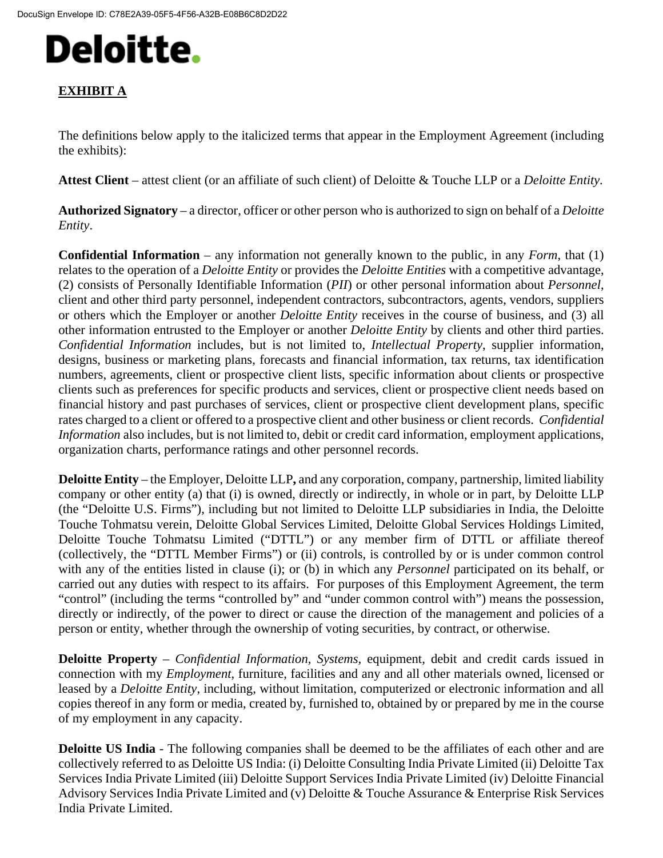## **EXHIBIT A**

The definitions below apply to the italicized terms that appear in the Employment Agreement (including the exhibits):

**Attest Client** – attest client (or an affiliate of such client) of Deloitte & Touche LLP or a *Deloitte Entity.*

**Authorized Signatory** – a director, officer or other person who is authorized to sign on behalf of a *Deloitte Entity*.

**Confidential Information** – any information not generally known to the public, in any *Form*, that (1) relates to the operation of a *Deloitte Entity* or provides the *Deloitte Entities* with a competitive advantage, (2) consists of Personally Identifiable Information (*PII*) or other personal information about *Personnel*, client and other third party personnel, independent contractors, subcontractors, agents, vendors, suppliers or others which the Employer or another *Deloitte Entity* receives in the course of business, and (3) all other information entrusted to the Employer or another *Deloitte Entity* by clients and other third parties. *Confidential Information* includes, but is not limited to, *Intellectual Property*, supplier information, designs, business or marketing plans, forecasts and financial information, tax returns, tax identification numbers, agreements, client or prospective client lists, specific information about clients or prospective clients such as preferences for specific products and services, client or prospective client needs based on financial history and past purchases of services, client or prospective client development plans, specific rates charged to a client or offered to a prospective client and other business or client records. *Confidential Information* also includes, but is not limited to, debit or credit card information, employment applications, organization charts, performance ratings and other personnel records.

**Deloitte Entity** – the Employer, Deloitte LLP**,** and any corporation, company, partnership, limited liability company or other entity (a) that (i) is owned, directly or indirectly, in whole or in part, by Deloitte LLP (the "Deloitte U.S. Firms"), including but not limited to Deloitte LLP subsidiaries in India, the Deloitte Touche Tohmatsu verein, Deloitte Global Services Limited, Deloitte Global Services Holdings Limited, Deloitte Touche Tohmatsu Limited ("DTTL") or any member firm of DTTL or affiliate thereof (collectively, the "DTTL Member Firms") or (ii) controls, is controlled by or is under common control with any of the entities listed in clause (i); or (b) in which any *Personnel* participated on its behalf, or carried out any duties with respect to its affairs. For purposes of this Employment Agreement, the term "control" (including the terms "controlled by" and "under common control with") means the possession, directly or indirectly, of the power to direct or cause the direction of the management and policies of a person or entity, whether through the ownership of voting securities, by contract, or otherwise.

**Deloitte Property** – *Confidential Information, Systems,* equipment, debit and credit cards issued in connection with my *Employment*, furniture, facilities and any and all other materials owned, licensed or leased by a *Deloitte Entity*, including, without limitation, computerized or electronic information and all copies thereof in any form or media, created by, furnished to, obtained by or prepared by me in the course of my employment in any capacity.

**Deloitte US India** - The following companies shall be deemed to be the affiliates of each other and are collectively referred to as Deloitte US India: (i) Deloitte Consulting India Private Limited (ii) Deloitte Tax Services India Private Limited (iii) Deloitte Support Services India Private Limited (iv) Deloitte Financial Advisory Services India Private Limited and (v) Deloitte & Touche Assurance & Enterprise Risk Services India Private Limited.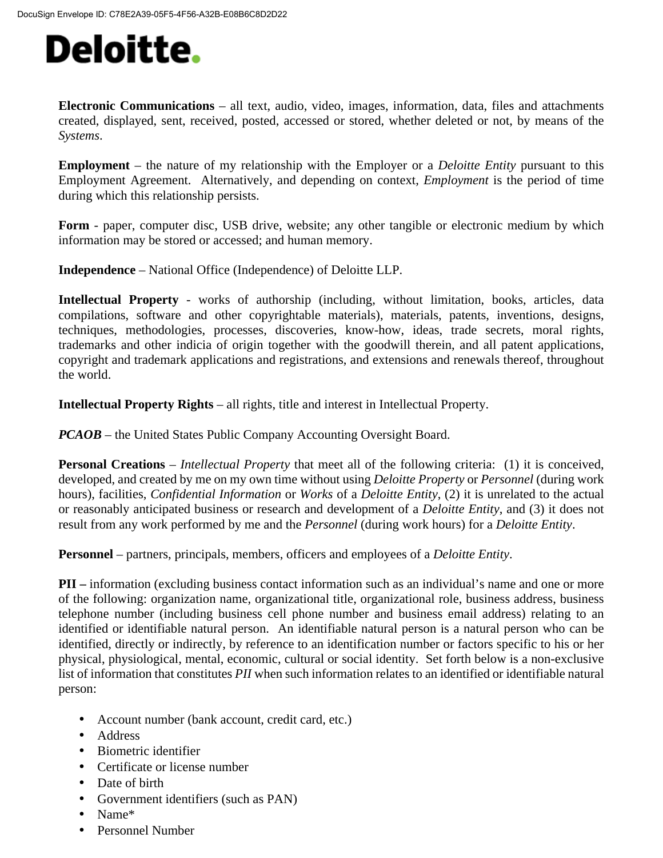**Electronic Communications** – all text, audio, video, images, information, data, files and attachments created, displayed, sent, received, posted, accessed or stored, whether deleted or not, by means of the *Systems*.

**Employment** – the nature of my relationship with the Employer or a *Deloitte Entity* pursuant to this Employment Agreement. Alternatively, and depending on context, *Employment* is the period of time during which this relationship persists.

**Form** - paper, computer disc, USB drive, website; any other tangible or electronic medium by which information may be stored or accessed; and human memory.

**Independence** – National Office (Independence) of Deloitte LLP.

**Intellectual Property** - works of authorship (including, without limitation, books, articles, data compilations, software and other copyrightable materials), materials, patents, inventions, designs, techniques, methodologies, processes, discoveries, know-how, ideas, trade secrets, moral rights, trademarks and other indicia of origin together with the goodwill therein, and all patent applications, copyright and trademark applications and registrations, and extensions and renewals thereof, throughout the world.

**Intellectual Property Rights** – all rights, title and interest in Intellectual Property.

*PCAOB* – the United States Public Company Accounting Oversight Board.

**Personal Creations** – *Intellectual Property* that meet all of the following criteria: (1) it is conceived, developed, and created by me on my own time without using *Deloitte Property* or *Personnel* (during work hours), facilities, *Confidential Information* or *Works* of a *Deloitte Entity*, (2) it is unrelated to the actual or reasonably anticipated business or research and development of a *Deloitte Entity*, and (3) it does not result from any work performed by me and the *Personnel* (during work hours) for a *Deloitte Entity*.

**Personnel** – partners, principals, members, officers and employees of a *Deloitte Entity*.

**PII** – information (excluding business contact information such as an individual's name and one or more of the following: organization name, organizational title, organizational role, business address, business telephone number (including business cell phone number and business email address) relating to an identified or identifiable natural person. An identifiable natural person is a natural person who can be identified, directly or indirectly, by reference to an identification number or factors specific to his or her physical, physiological, mental, economic, cultural or social identity. Set forth below is a non-exclusive list of information that constitutes *PII* when such information relates to an identified or identifiable natural person:

- Account number (bank account, credit card, etc.)
- Address
- Biometric identifier
- Certificate or license number
- Date of birth
- Government identifiers (such as PAN)
- Name\*
- Personnel Number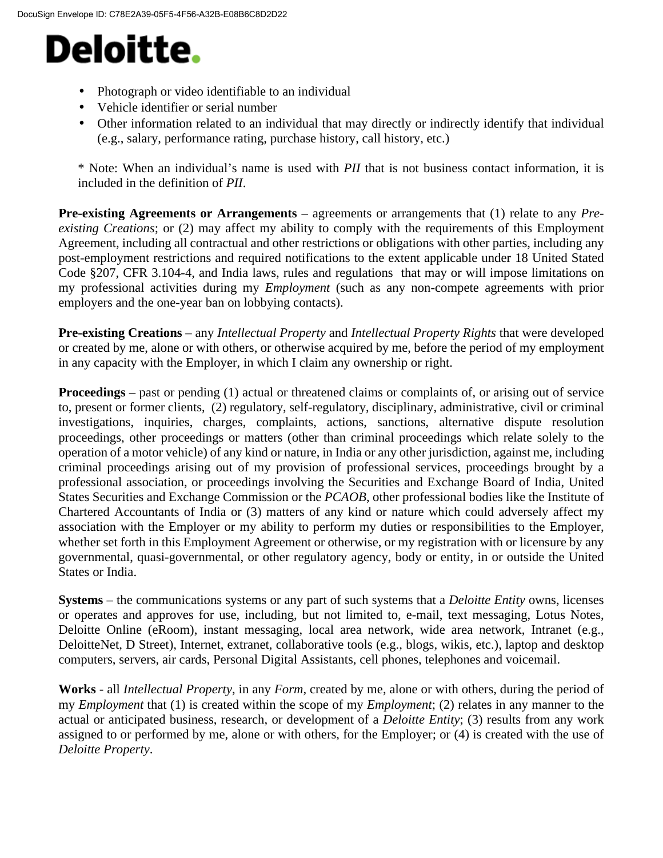- Photograph or video identifiable to an individual
- Vehicle identifier or serial number
- Other information related to an individual that may directly or indirectly identify that individual (e.g., salary, performance rating, purchase history, call history, etc.)

\* Note: When an individual's name is used with *PII* that is not business contact information, it is included in the definition of *PII*.

**Pre-existing Agreements or Arrangements** – agreements or arrangements that (1) relate to any *Preexisting Creations*; or (2) may affect my ability to comply with the requirements of this Employment Agreement, including all contractual and other restrictions or obligations with other parties, including any post-employment restrictions and required notifications to the extent applicable under 18 United Stated Code §207, CFR 3.104-4, and India laws, rules and regulations that may or will impose limitations on my professional activities during my *Employment* (such as any non-compete agreements with prior employers and the one-year ban on lobbying contacts).

**Pre-existing Creations** – any *Intellectual Property* and *Intellectual Property Rights* that were developed or created by me, alone or with others, or otherwise acquired by me, before the period of my employment in any capacity with the Employer, in which I claim any ownership or right.

**Proceedings** – past or pending (1) actual or threatened claims or complaints of, or arising out of service to, present or former clients, (2) regulatory, self-regulatory, disciplinary, administrative, civil or criminal investigations, inquiries, charges, complaints, actions, sanctions, alternative dispute resolution proceedings, other proceedings or matters (other than criminal proceedings which relate solely to the operation of a motor vehicle) of any kind or nature, in India or any other jurisdiction, against me, including criminal proceedings arising out of my provision of professional services, proceedings brought by a professional association, or proceedings involving the Securities and Exchange Board of India, United States Securities and Exchange Commission or the *PCAOB*, other professional bodies like the Institute of Chartered Accountants of India or (3) matters of any kind or nature which could adversely affect my association with the Employer or my ability to perform my duties or responsibilities to the Employer, whether set forth in this Employment Agreement or otherwise, or my registration with or licensure by any governmental, quasi-governmental, or other regulatory agency, body or entity, in or outside the United States or India.

**Systems** – the communications systems or any part of such systems that a *Deloitte Entity* owns, licenses or operates and approves for use, including, but not limited to, e-mail, text messaging, Lotus Notes, Deloitte Online (eRoom), instant messaging, local area network, wide area network, Intranet (e.g., DeloitteNet, D Street), Internet, extranet, collaborative tools (e.g., blogs, wikis, etc.), laptop and desktop computers, servers, air cards, Personal Digital Assistants, cell phones, telephones and voicemail.

**Works** - all *Intellectual Property*, in any *Form*, created by me, alone or with others, during the period of my *Employment* that (1) is created within the scope of my *Employment*; (2) relates in any manner to the actual or anticipated business, research, or development of a *Deloitte Entity*; (3) results from any work assigned to or performed by me, alone or with others, for the Employer; or (4) is created with the use of *Deloitte Property*.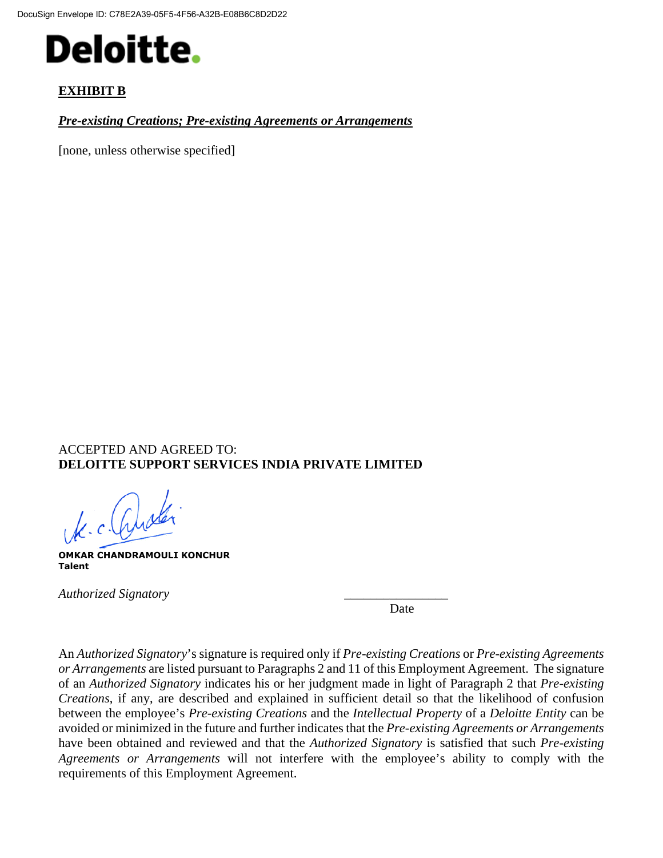

### **EXHIBIT B**

*Pre-existing Creations; Pre-existing Agreements or Arrangements*

[none, unless otherwise specified]

### ACCEPTED AND AGREED TO: **DELOITTE SUPPORT SERVICES INDIA PRIVATE LIMITED**

Je. c. Queler

**OMKAR CHANDRAMOULI KONCHUR Talent**

*Authorized Signatory* \_\_\_\_\_\_\_\_\_\_\_\_\_\_\_\_

Date

An *Authorized Signatory*'s signature is required only if *Pre-existing Creations* or *Pre-existing Agreements or Arrangements* are listed pursuant to Paragraphs 2 and 11 of this Employment Agreement. The signature of an *Authorized Signatory* indicates his or her judgment made in light of Paragraph 2 that *Pre-existing Creations*, if any, are described and explained in sufficient detail so that the likelihood of confusion between the employee's *Pre-existing Creations* and the *Intellectual Property* of a *Deloitte Entity* can be avoided or minimized in the future and further indicates that the *Pre-existing Agreements or Arrangements* have been obtained and reviewed and that the *Authorized Signatory* is satisfied that such *Pre-existing Agreements or Arrangements* will not interfere with the employee's ability to comply with the requirements of this Employment Agreement.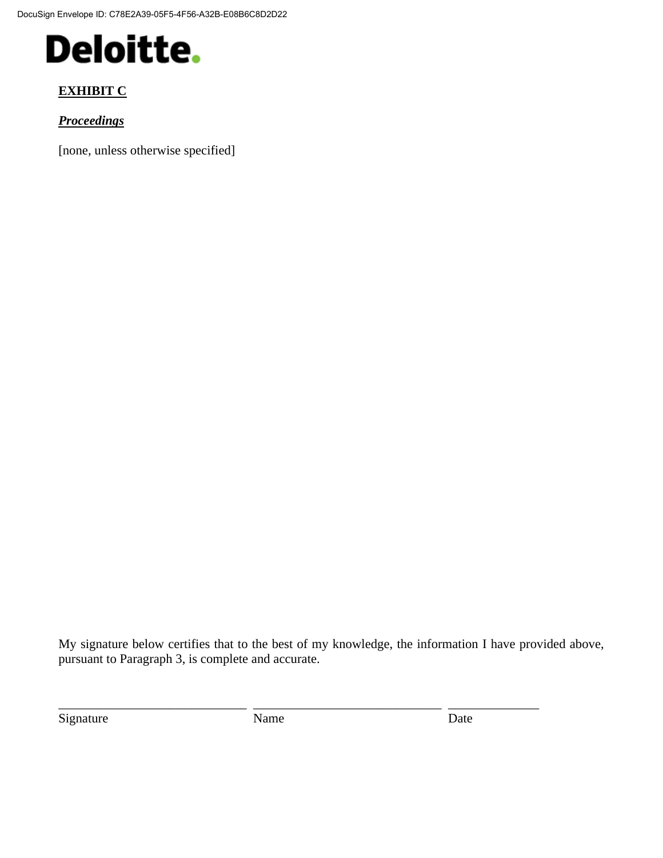DocuSign Envelope ID: C78E2A39-05F5-4F56-A32B-E08B6C8D2D22

## **Deloitte.**

## **EXHIBIT C**

*Proceedings*

[none, unless otherwise specified]

My signature below certifies that to the best of my knowledge, the information I have provided above, pursuant to Paragraph 3, is complete and accurate.

Signature Date Name **Date** 

\_\_\_\_\_\_\_\_\_\_\_\_\_\_\_\_\_\_\_\_\_\_\_\_\_\_\_\_\_ \_\_\_\_\_\_\_\_\_\_\_\_\_\_\_\_\_\_\_\_\_\_\_\_\_\_\_\_\_ \_\_\_\_\_\_\_\_\_\_\_\_\_\_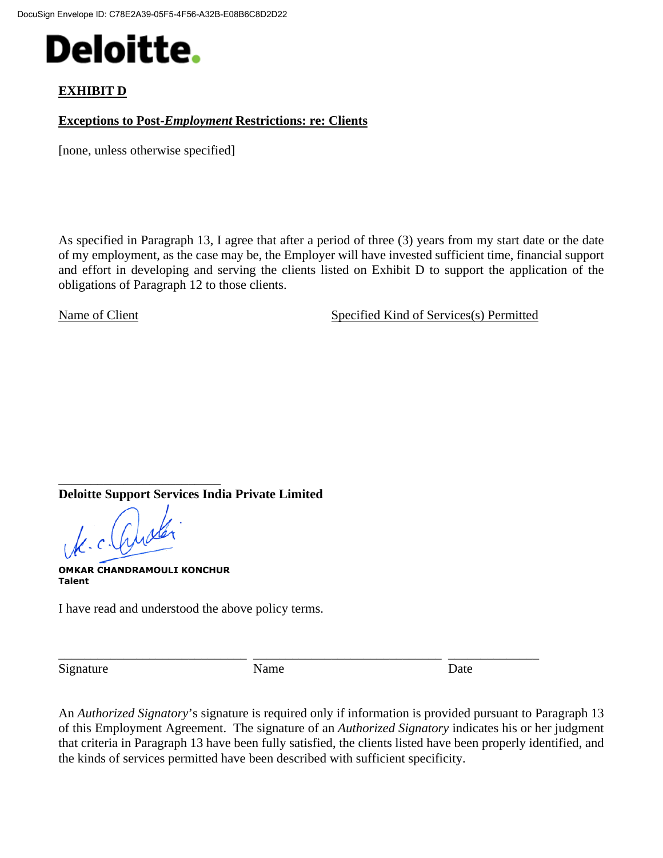

### **EXHIBIT D**

#### **Exceptions to Post-***Employment* **Restrictions: re: Clients**

[none, unless otherwise specified]

As specified in Paragraph 13, I agree that after a period of three (3) years from my start date or the date of my employment, as the case may be, the Employer will have invested sufficient time, financial support and effort in developing and serving the clients listed on Exhibit D to support the application of the obligations of Paragraph 12 to those clients.

Name of Client Specified Kind of Services(s) Permitted

\_\_\_\_\_\_\_\_\_\_\_\_\_\_\_\_\_\_\_\_\_\_\_\_\_ **Deloitte Support Services India Private Limited**

K. c. Quale

**OMKAR CHANDRAMOULI KONCHUR Talent**

I have read and understood the above policy terms.

Signature Date Name Date Date

\_\_\_\_\_\_\_\_\_\_\_\_\_\_\_\_\_\_\_\_\_\_\_\_\_\_\_\_\_ \_\_\_\_\_\_\_\_\_\_\_\_\_\_\_\_\_\_\_\_\_\_\_\_\_\_\_\_\_ \_\_\_\_\_\_\_\_\_\_\_\_\_\_

An *Authorized Signatory*'s signature is required only if information is provided pursuant to Paragraph 13 of this Employment Agreement. The signature of an *Authorized Signatory* indicates his or her judgment that criteria in Paragraph 13 have been fully satisfied, the clients listed have been properly identified, and the kinds of services permitted have been described with sufficient specificity.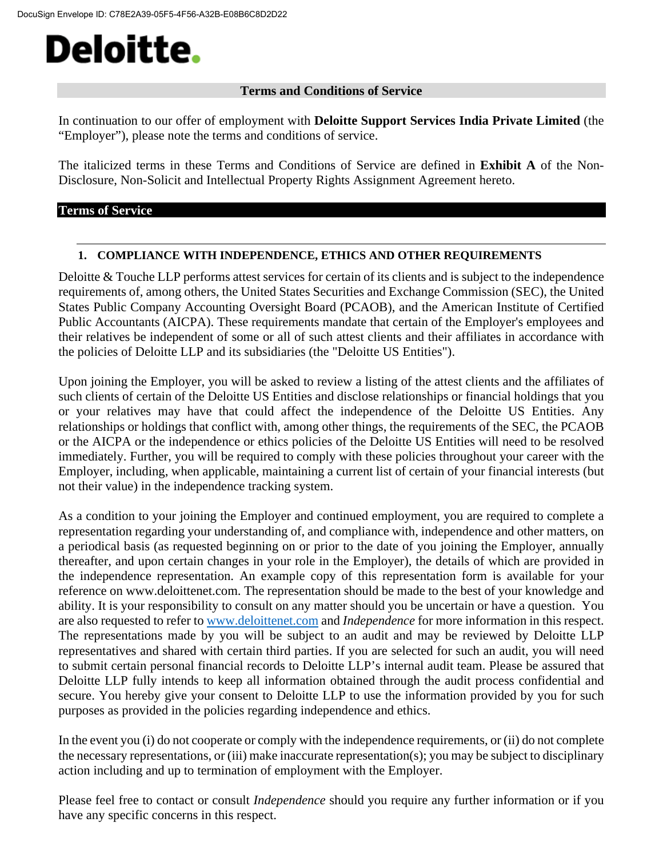#### **Terms and Conditions of Service**

In continuation to our offer of employment with **Deloitte Support Services India Private Limited** (the "Employer"), please note the terms and conditions of service.

The italicized terms in these Terms and Conditions of Service are defined in **Exhibit A** of the Non-Disclosure, Non-Solicit and Intellectual Property Rights Assignment Agreement hereto.

#### **Terms of Service**

#### **1. COMPLIANCE WITH INDEPENDENCE, ETHICS AND OTHER REQUIREMENTS**

Deloitte & Touche LLP performs attest services for certain of its clients and is subject to the independence requirements of, among others, the United States Securities and Exchange Commission (SEC), the United States Public Company Accounting Oversight Board (PCAOB), and the American Institute of Certified Public Accountants (AICPA). These requirements mandate that certain of the Employer's employees and their relatives be independent of some or all of such attest clients and their affiliates in accordance with the policies of Deloitte LLP and its subsidiaries (the "Deloitte US Entities").

Upon joining the Employer, you will be asked to review a listing of the attest clients and the affiliates of such clients of certain of the Deloitte US Entities and disclose relationships or financial holdings that you or your relatives may have that could affect the independence of the Deloitte US Entities. Any relationships or holdings that conflict with, among other things, the requirements of the SEC, the PCAOB or the AICPA or the independence or ethics policies of the Deloitte US Entities will need to be resolved immediately. Further, you will be required to comply with these policies throughout your career with the Employer, including, when applicable, maintaining a current list of certain of your financial interests (but not their value) in the independence tracking system.

As a condition to your joining the Employer and continued employment, you are required to complete a representation regarding your understanding of, and compliance with, independence and other matters, on a periodical basis (as requested beginning on or prior to the date of you joining the Employer, annually thereafter, and upon certain changes in your role in the Employer), the details of which are provided in the independence representation. An example copy of this representation form is available for your reference on www.deloittenet.com. The representation should be made to the best of your knowledge and ability. It is your responsibility to consult on any matter should you be uncertain or have a question. You are also requested to refer to [www.deloittenet.com](http://www.deloittenet.com/) and *Independence* for more information in this respect. The representations made by you will be subject to an audit and may be reviewed by Deloitte LLP representatives and shared with certain third parties. If you are selected for such an audit, you will need to submit certain personal financial records to Deloitte LLP's internal audit team. Please be assured that Deloitte LLP fully intends to keep all information obtained through the audit process confidential and secure. You hereby give your consent to Deloitte LLP to use the information provided by you for such purposes as provided in the policies regarding independence and ethics.

In the event you (i) do not cooperate or comply with the independence requirements, or (ii) do not complete the necessary representations, or (iii) make inaccurate representation(s); you may be subject to disciplinary action including and up to termination of employment with the Employer.

Please feel free to contact or consult *Independence* should you require any further information or if you have any specific concerns in this respect.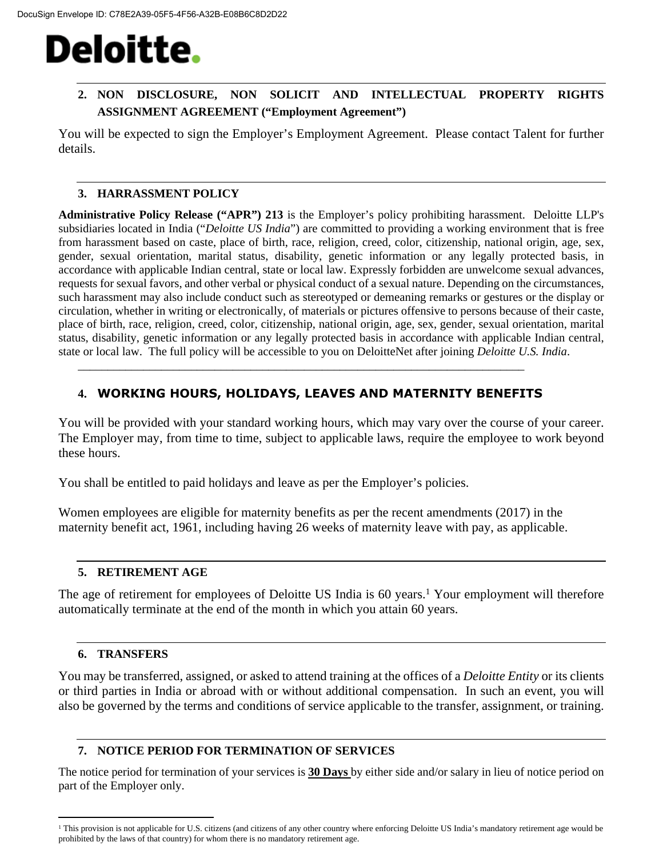### **2. NON DISCLOSURE, NON SOLICIT AND INTELLECTUAL PROPERTY RIGHTS ASSIGNMENT AGREEMENT ("Employment Agreement")**

You will be expected to sign the Employer's Employment Agreement. Please contact Talent for further details.

### **3. HARRASSMENT POLICY**

**Administrative Policy Release ("APR") 213** is the Employer's policy prohibiting harassment. Deloitte LLP's subsidiaries located in India ("*Deloitte US India*") are committed to providing a working environment that is free from harassment based on caste, place of birth, race, religion, creed, color, citizenship, national origin, age, sex, gender, sexual orientation, marital status, disability, genetic information or any legally protected basis, in accordance with applicable Indian central, state or local law. Expressly forbidden are unwelcome sexual advances, requests for sexual favors, and other verbal or physical conduct of a sexual nature. Depending on the circumstances, such harassment may also include conduct such as stereotyped or demeaning remarks or gestures or the display or circulation, whether in writing or electronically, of materials or pictures offensive to persons because of their caste, place of birth, race, religion, creed, color, citizenship, national origin, age, sex, gender, sexual orientation, marital status, disability, genetic information or any legally protected basis in accordance with applicable Indian central, state or local law. The full policy will be accessible to you on DeloitteNet after joining *Deloitte U.S. India*.

## **4. WORKING HOURS, HOLIDAYS, LEAVES AND MATERNITY BENEFITS**

\_\_\_\_\_\_\_\_\_\_\_\_\_\_\_\_\_\_\_\_\_\_\_\_\_\_\_\_\_\_\_\_\_\_\_\_\_\_\_\_\_\_\_\_\_\_\_\_\_\_\_\_\_\_\_\_\_\_\_\_\_\_\_\_\_\_\_\_\_\_\_\_\_\_\_

You will be provided with your standard working hours, which may vary over the course of your career. The Employer may, from time to time, subject to applicable laws, require the employee to work beyond these hours.

You shall be entitled to paid holidays and leave as per the Employer's policies.

Women employees are eligible for maternity benefits as per the recent amendments (2017) in the maternity benefit act, 1961, including having 26 weeks of maternity leave with pay, as applicable.

#### **5. RETIREMENT AGE**

The age of retirement for employees of Deloitte US India is 60 years.<sup>1</sup> Your employment will therefore automatically terminate at the end of the month in which you attain 60 years.

### **6. TRANSFERS**

You may be transferred, assigned, or asked to attend training at the offices of a *Deloitte Entity* or its clients or third parties in India or abroad with or without additional compensation. In such an event, you will also be governed by the terms and conditions of service applicable to the transfer, assignment, or training.

### **7. NOTICE PERIOD FOR TERMINATION OF SERVICES**

The notice period for termination of your services is **30 Days** by either side and/or salary in lieu of notice period on part of the Employer only.

<sup>&</sup>lt;sup>1</sup> This provision is not applicable for U.S. citizens (and citizens of any other country where enforcing Deloitte US India's mandatory retirement age would be prohibited by the laws of that country) for whom there is no mandatory retirement age.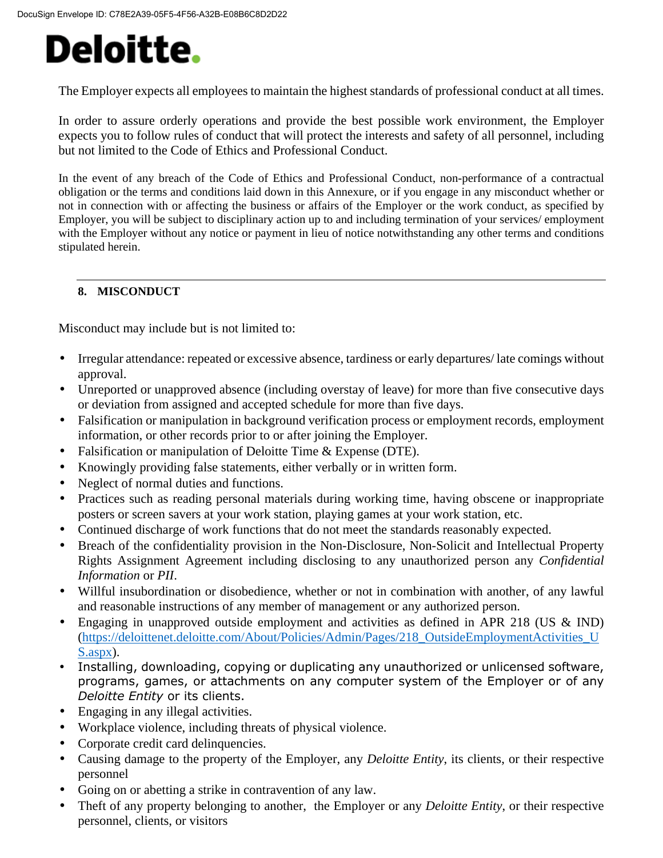The Employer expects all employees to maintain the highest standards of professional conduct at all times.

In order to assure orderly operations and provide the best possible work environment, the Employer expects you to follow rules of conduct that will protect the interests and safety of all personnel, including but not limited to the Code of Ethics and Professional Conduct.

In the event of any breach of the Code of Ethics and Professional Conduct, non-performance of a contractual obligation or the terms and conditions laid down in this Annexure, or if you engage in any misconduct whether or not in connection with or affecting the business or affairs of the Employer or the work conduct, as specified by Employer, you will be subject to disciplinary action up to and including termination of your services/ employment with the Employer without any notice or payment in lieu of notice notwithstanding any other terms and conditions stipulated herein.

### **8. MISCONDUCT**

Misconduct may include but is not limited to:

- Irregular attendance: repeated or excessive absence, tardiness or early departures/ late comings without approval.
- Unreported or unapproved absence (including overstay of leave) for more than five consecutive days or deviation from assigned and accepted schedule for more than five days.
- Falsification or manipulation in background verification process or employment records, employment information, or other records prior to or after joining the Employer.
- Falsification or manipulation of Deloitte Time & Expense (DTE).
- Knowingly providing false statements, either verbally or in written form.
- Neglect of normal duties and functions.
- Practices such as reading personal materials during working time, having obscene or inappropriate posters or screen savers at your work station, playing games at your work station, etc.
- Continued discharge of work functions that do not meet the standards reasonably expected.
- Breach of the confidentiality provision in the Non-Disclosure, Non-Solicit and Intellectual Property Rights Assignment Agreement including disclosing to any unauthorized person any *Confidential Information* or *PII*.
- Willful insubordination or disobedience, whether or not in combination with another, of any lawful and reasonable instructions of any member of management or any authorized person.
- Engaging in unapproved outside employment and activities as defined in APR 218 (US & IND) ([https://deloittenet.deloitte.com/About/Policies/Admin/Pages/218\\_OutsideEmploymentActivities\\_U](https://deloittenet.deloitte.com/About/Policies/Admin/Pages/218_OutsideEmploymentActivities_US.aspx) [S.aspx\)](https://deloittenet.deloitte.com/About/Policies/Admin/Pages/218_OutsideEmploymentActivities_US.aspx).
- Installing, downloading, copying or duplicating any unauthorized or unlicensed software, programs, games, or attachments on any computer system of the Employer or of any *Deloitte Entity* or its clients.
- Engaging in any illegal activities.
- Workplace violence, including threats of physical violence.
- Corporate credit card delinquencies.
- Causing damage to the property of the Employer, any *Deloitte Entity*, its clients, or their respective personnel
- Going on or abetting a strike in contravention of any law.
- Theft of any property belonging to another, the Employer or any *Deloitte Entity*, or their respective personnel, clients, or visitors